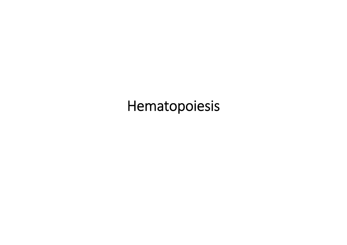## Hematopoiesis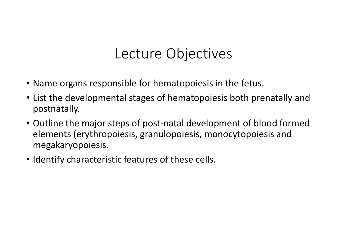### Lecture Objectives

- Name organs responsible for hematopoiesis in the fetus.
- List the developmental stages of hematopoiesis both prenatally and postnatally.
- Outline the major steps of post‐natal development of blood formed elements (erythropoiesis, granulopoiesis, monocytopoiesis and megakaryopoiesis.
- Identify characteristic features of these cells.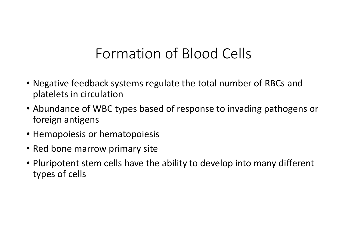### Formation of Blood Cells

- Negative feedback systems regulate the total number of RBCs and platelets in circulation
- Abundance of WBC types based of response to invading pathogens or foreign antigens
- Hemopoiesis or hematopoiesis
- Red bone marrow primary site
- Pluripotent stem cells have the ability to develop into many different types of cells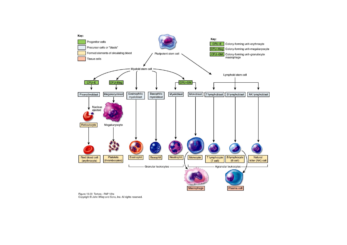

Figure 19.03 Tortora - PAP 12/e Copyright @ John Wiley and Sons, Inc. All rights reserved.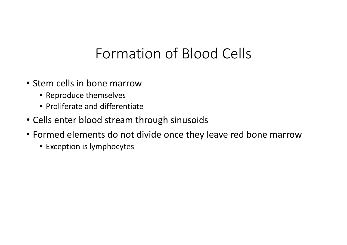# Formation of Blood Cells

- Stem cells in bone marrow
	- Reproduce themselves
	- Proliferate and differentiate
- Cells enter blood stream through sinusoids
- Formed elements do not divide once they leave red bone marrow
	- Exception is lymphocytes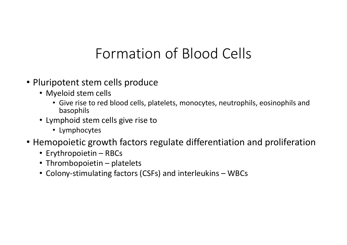# Formation of Blood Cells

- Pluripotent stem cells produce
	- Myeloid stem cells
		- Give rise to red blood cells, platelets, monocytes, neutrophils, eosinophils and basophils
	- Lymphoid stem cells give rise to
		- Lymphocytes
- Hemopoietic growth factors regulate differentiation and proliferation
	- Erythropoietin RBCs
	- Thrombopoietin platelets
	- Colony‐stimulating factors (CSFs) and interleukins WBCs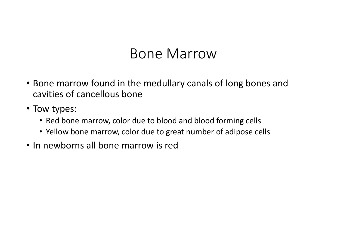### Bone Marrow

- Bone marrow found in the medullary canals of long bones and cavities of cancellous bone
- Tow types:
	- Red bone marrow, color due to blood and blood forming cells
	- Yellow bone marrow, color due to great number of adipose cells
- In newborns all bone marrow is red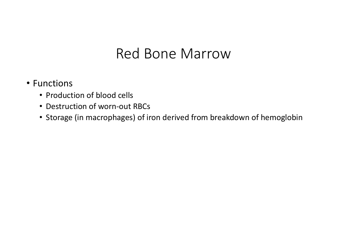### Red Bone Marrow

### • Functions

- Production of blood cells
- Destruction of worn‐out RBCs
- Storage (in macrophages) of iron derived from breakdown of hemoglobin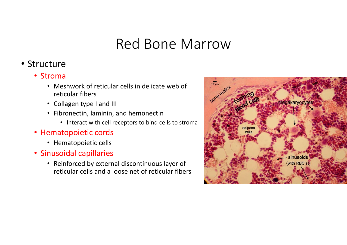### Red Bone Marrow

### • Structure

- Stroma
	- Meshwork of reticular cells in delicate web of reticular fibers
	- Collagen type I and III
	- Fibronectin, laminin, and hemonectin
		- Interact with cell receptors to bind cells to stroma
- Hematopoietic cords
	- Hematopoietic cells
- Sinusoidal capillaries
	- Reinforced by external discontinuous layer of reticular cells and a loose net of reticular fibers

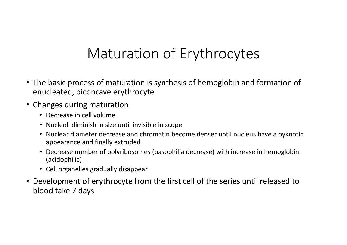# Maturation of Erythrocytes

- The basic process of maturation is synthesis of hemoglobin and formation of enucleated, biconcave erythrocyte
- Changes during maturation
	- Decrease in cell volume
	- Nucleoli diminish in size until invisible in scope
	- Nuclear diameter decrease and chromatin become denser until nucleus have a pyknotic appearance and finally extruded
	- Decrease number of polyribosomes (basophilia decrease) with increase in hemoglobin (acidophilic)
	- Cell organelles gradually disappear
- Development of erythrocyte from the first cell of the series until released to blood take 7 days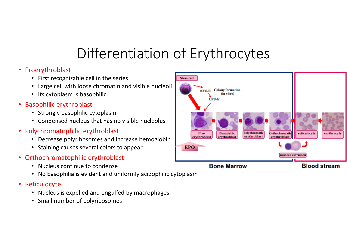# Differentiation of Erythrocytes

#### • Proerythroblast

- First recognizable cell in the series
- Large cell with loose chromatin and visible nucleoli
- Its cytoplasm is basophilic
- Basophilic erythroblast
	- Strongly basophilic cytoplasm
	- Condensed nucleus that has no visible nucleolus
- Polychromatophilic erythroblast
	- Decrease polyribosomes and increase hemoglobin
	- Staining causes several colors to appear
- $\bullet$  Orthochromatophilic erythroblast
	- Nucleus continue to condense
	- No basophilia is evident and uniformly acidophilic cytoplasm
- $\bullet$  Reticulocyte
	- Nucleus is expelled and engulfed by macrophages
	- Small number of polyribosomes

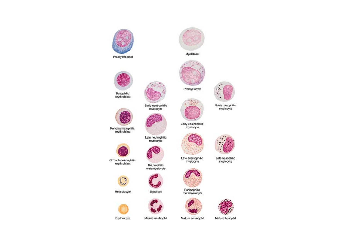



Myeloblast



Early basophilic<br>myelocyte

Early eosinophilic<br>myelocyte



Late basophilic<br>myelocyte



Late eosinophilic<br>myelocyte

Eosinophilic metamyelocyte









Mature eosinophil

Mature basophil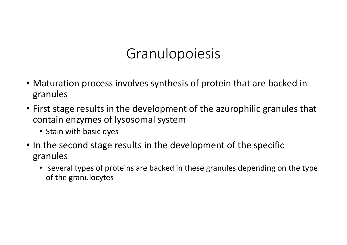# Granulopoiesis

- Maturation process involves synthesis of protein that are backed in granules
- First stage results in the development of the azurophilic granules that contain enzymes of lysosomal system
	- Stain with basic dyes
- In the second stage results in the development of the specific granules
	- several types of proteins are backed in these granules depending on the type of the granulocytes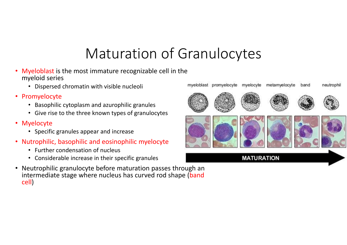# Maturation of Granulocytes

- $\bullet$  Myeloblast is the most immature recognizable cell in the myeloid series
	- Dispersed chromatin with visible nucleoli
- Promyelocyte
	- Basophilic cytoplasm and azurophilic granules
	- Give rise to the three known types of granulocytes
- Myelocyte
	- Specific granules appear and increase
- Nutrophilic, basophilic and eosinophilic myelocyte
	- Further condensation of nucleus
	- Considerable increase in their specific granules
- $\bullet$  Neutrophilic granulocyte before maturation passes through an intermediate stage where nucleus has curved rod shape (band cell)

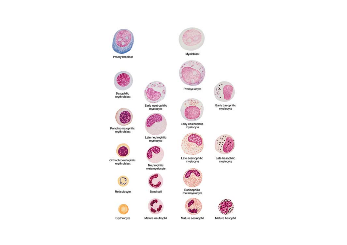



Myeloblast



Early basophilic<br>myelocyte

Early eosinophilic<br>myelocyte



Late basophilic<br>myelocyte



Late eosinophilic<br>myelocyte

Eosinophilic metamyelocyte







Mature eosinophil

Mature basophil



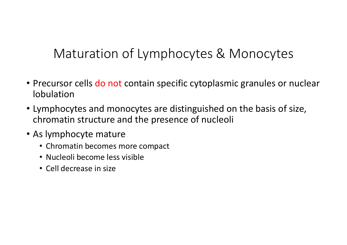### Maturation of Lymphocytes & Monocytes

- Precursor cells do not contain specific cytoplasmic granules or nuclear lobulation
- Lymphocytes and monocytes are distinguished on the basis of size, chromatin structure and the presence of nucleoli
- As lymphocyte mature
	- Chromatin becomes more compact
	- Nucleoli become less visible
	- Cell decrease in size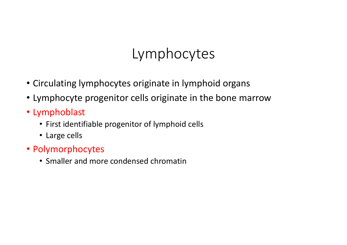# Lymphocytes

- Circulating lymphocytes originate in lymphoid organs
- Lymphocyte progenitor cells originate in the bone marrow
- Lymphoblast
	- First identifiable progenitor of lymphoid cells
	- Large cells
- Polymorphocytes
	- Smaller and more condensed chromatin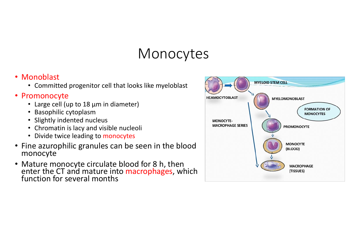# Monocytes

#### • Monoblast

• Committed progenitor cell that looks like myeloblast

#### • Promonocyte

- Large cell (up to 18 µm in diameter)
- Basophilic cytoplasm
- Slightly indented nucleus
- Chromatin is lacy and visible nucleoli
- Divide twice leading to monocytes
- Fine azurophilic granules can be seen in the blood monocyte
- Mature monocyte circulate blood for 8 h, then enter the CT and mature into macrophages, which function for several months

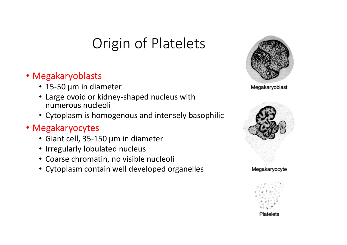# Origin of Platelets

### • Megakaryoblasts

- 15‐50 µm in diameter
- Large ovoid or kidney‐shaped nucleus with numerous nucleoli
- Cytoplasm is homogenous and intensely basophilic

### • Megakaryocytes

- Giant cell, 35‐150 µm in diameter
- Irregularly lobulated nucleus
- Coarse chromatin, no visible nucleoli
- Cytoplasm contain well developed organelles



Megakaryoblast





Platelets